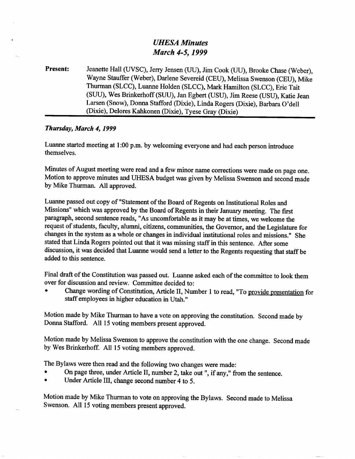## *UHESA Minutes March 4-5,1999*

**Present:** Jeanette Hall (UVSC), Jerry Jensen (UU), Jim Cook (UU), Brooke Chase (Weber), Wayne Stauffer (Weber), Darlene Severeid (CEU), Melissa Swenson (CEU), Mike Thurman (SLCC), Luanne Holden (SLCC), Mark Hamilton (SLCC), Eric Tait (SUU), Wes Brinkerhoff(SUU), Jan Egbert (USU), Jim Reese (USU), Katie Jean Larsen (Snow), Donna Stafford (Dixie), Linda Rogers (Dixie), Barbara O'dell (Dixie), Delores Kahkonen (Dixie), Tyese Gray (Dixie)

## *Thursday, March 4,1999*

Luanne started meeting at 1:00 p.m. by welcoming everyone and had each person introduce themselves.

Minutes of August meeting were read and a few minor name corrections were made on page one. Motion to approve minutes and UHESA budget was given by Melissa Swenson and second made by Mike Thurman. All approved.

Luanne passed out copy of "Statement of the Board of Regents on Institutional Roles and Missions" which was approved by the Board of Regents in their January meeting. The first paragraph, second sentence reads, "As uncomfortable as it may be at times, we welcome the request of students, faculty, alumni, citizens, communities, the Governor, and the Legislature for changes in the system as a whole or changes in individual institutional roles and missions." She stated that Linda Rogers pointed out that it was missing staff in this sentence. After some discussion, it was decided that Luanne would send a letter to the Regents requesting that staff be added to this sentence.

Final draft of the Constitution was passed out. Luanne asked each of the committee to look them over for discussion and review. Committee decided to:

• Change wording of Constitution, Article II, Number 1 to read, "To provide presentation for staff employees in higher education in Utah."

Motion made by Mike Thurman to have a vote on approving the constitution. Second made by Donna Stafford. All 15 voting members present approved.

Motion made by Melissa Swenson to approve the constitution with the one change. Second made by Wes Brinkerhoff. All 15 voting members approved.

The Bylaws were then read and the following two changes were made:

- On page three, under Article II, number 2, take out", if any," from the sentence.
- Under Article III, change second number 4 to 5.

Motion made by Mike Thurman to vote on approving the Bylaws. Second made to Melissa Swenson. All 15 voting members present approved.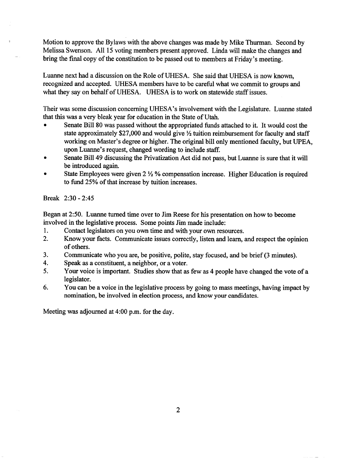Motion to approve the Bylaws with the above changes was made by Mike Thurman. Second by Melissa Swenson. All 15 voting members present approved. Linda will make the changes and bring the final copy of the constitution to be passed out to members at Friday's meeting.

Luanne next had a discussion on the Role of UHESA. She said that UHESA is now known, recognized and accepted. UHESA members have to be careful what we commit to groups and what they say on behalf of UHESA. UHESA is to work on statewide staff issues.

Their was some discussion concerning UHESA's involvement with the Legislature. Luanne stated that this was a very bleak year for education in the State of Utah.

- Senate Bill 80 was passed without the appropriated funds attached to it. It would cost the state approximately \$27,000 and would give *1A* tuition reimbursement for faculty and staff working on Master's degree or higher. The original bill only mentioned faculty, but UPEA, upon Luanne's request, changed wording to include staff.
- Senate Bill 49 discussing the Privatization Act did not pass, but Luanne is sure that it will be introduced again.
- State Employees were given *2l/2%* compensation increase. Higher Education is required to fund 25% of that increase by tuition increases.

Break 2:30-2:45

Began at 2:50. Luanne turned time over to Jim Reese for his presentation on how to become involved in the legislative process. Some points Jim made include:

- 1. Contact legislators on you own time and with your own resources.
- 2. Know your facts. Communicate issues correctly, listen and learn, and respect the opinion of others.
- 3. Communicate who you are, be positive, polite, stay focused, and be brief (3 minutes).
- 4. Speak as a constituent, a neighbor, or a voter.
- 5. Your voice is important. Studies show that as few as 4 people have changed the vote of a legislator.
- 6. You can be a voice in the legislative process by going to mass meetings, having impact by nomination, be involved in election process, and know your candidates.

Meeting was adjourned at 4:00 p.m. for the day.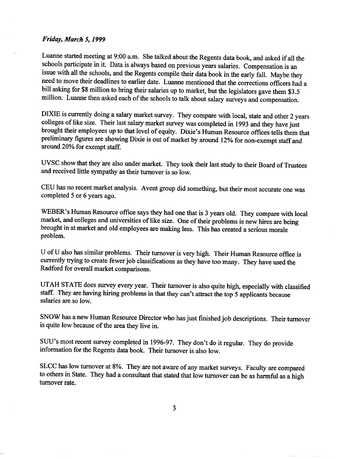## *Friday, March 5,1999*

Luanne started meeting at 9:00 a.m. She talked about the Regents data book, and asked if all the schools participate in it. Data is always based on previous years salaries. Compensation is an issue with all the schools, and the Regents compile their data book in the early fall. Maybe they need to move their deadlines to earlier date. Luanne mentioned that the corrections officers had a bill asking for \$8 million to bring their salaries up to market, but the legislators gave them \$3.5 million. Luanne then asked each of the schools to talk about salary surveys and compensation.

DIXIE is currently doing a salary market survey. They compare with local, state and other 2 years colleges of like size. Their last salary market survey was completed in 1993 and they have just brought their employees up to that level of equity. Dixie's Human Resource offices tells them that preliminary figures are showing Dixie is out of market by around 12% for non-exempt staff and around 20% for exempt staff.

UVSC show that they are also under market. They took their last study to their Board of Trustees and received little sympathy as their turnover is so low.

CEU has no recent market analysis. Avent group did something, but their most accurate one was completed 5 or 6 years ago.

WEBER's Human Resource office says they had one that is 3 years old. They compare with local market, and colleges and universities of like size. One of their problems is new hires are being brought in at market and old employees are making less. This has created a serious morale problem.

 $U$  of  $U$  also has similar problems. Their turnover is very high. Their Human Resource office is currently trying to create fewer job classifications as they have too many. They have used the Radford for overall market comparisons.

UTAH STATE does survey every year. Their turnover is also quite high, especially with classified staff. They are having hiring problems in that they can't attract the top 5 applicants because salaries are so low.

SNOW has a new Human Resource Director who has just finished job descriptions. Their turnover is quite low because of the area they live in.

SUU's most recent survey completed in 1996-97. They don't do it regular. They do provide information for the Regents data book. Their turnover is also low.

SLCC has low turnover at 8%. They are not aware of any market surveys. Faculty are compared to others in State. They had a consultant that stated that low turnover can be as harmful as a high turnover rate.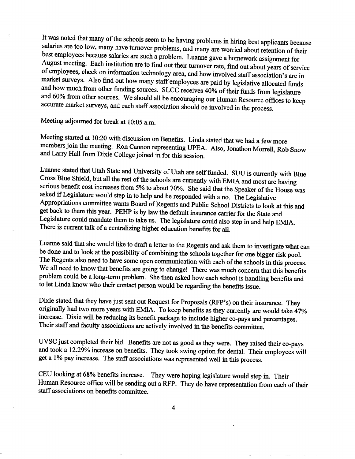It was noted that many of the schools seem to be having problems in hiring best applicants because salaries are too low, many have turnover problems, and many are worried about retention of their best employees because salaries are such a problem. Luanne gave a homework assignment for August meeting. Each institution are to find out their turnover rate, find out about years of service of employees, check on information technology area, and how involved staff association's are in market surveys. Also find out how many staff employees are paid by legislative allocated funds and how much from other funding sources. SLCC receives 40% of their funds from legislature and 60% from other sources. We should all be encouraging our Human Resource offices to keep accurate market surveys, and each staff association should be involved in the process.

Meeting adjourned for break at 10:05 a.m.

Meeting started at 10:20 with discussion on Benefits. Linda stated that we had a few more members join the meeting. Ron Cannon representing UPEA. Also, Jonathon Morrell, Rob Snow and Larry Hall from Dixie College joined in for this session.

Luanne stated that Utah State and University of Utah are self funded. SUU is currently with Blue Cross Blue Shield, but all the rest of the schools are currently with EMIA and most are having serious benefit cost increases from 5% to about 70%. She said that the Speaker of the House was asked if Legislature would step in to help and he responded with a no. The Legislative Appropriations committee wants Board of Regents and Public School Districts to look at this and get back to them this year. PEHP is by law the default insurance carrier for the State and Legislature could mandate them to take us. The legislature could also step in and help EMIA. There is current talk of a centralizing higher education benefits for all.

Luanne said that she would like to draft a letter to the Regents and ask them to investigate what can be done and to look at the possibility of combining the schools together for one bigger risk pool. The Regents also need to have some open communication with each of the schools in this process. We all need to know that benefits are going to change! There was much concern that this benefits problem could be a long-term problem. She then asked how each school is handling benefits and to let Linda know who their contact person would be regarding the benefits issue.

Dixie stated that they have just sent out Request for Proposals (RFP's) on their insurance. They originally had two more years with EMIA. To keep benefits as they currently are would take 47% increase. Dixie will be reducing its benefit package to include higher co-pays and percentages. Their staff and faculty associations are actively involved in the benefits committee.

UVSC just completed their bid. Benefits are not as good as they were. They raised their co-pays and took a 12.29% increase on benefits. They took swing option for dental. Their employees will get a 1% pay increase. The staff associations was represented well in this process.

CEU looking at 68% benefits increase. They were hoping legislature would step in. Their Human Resource office will be sending out a RFP. They do have representation from each of their staff associations on benefits committee.